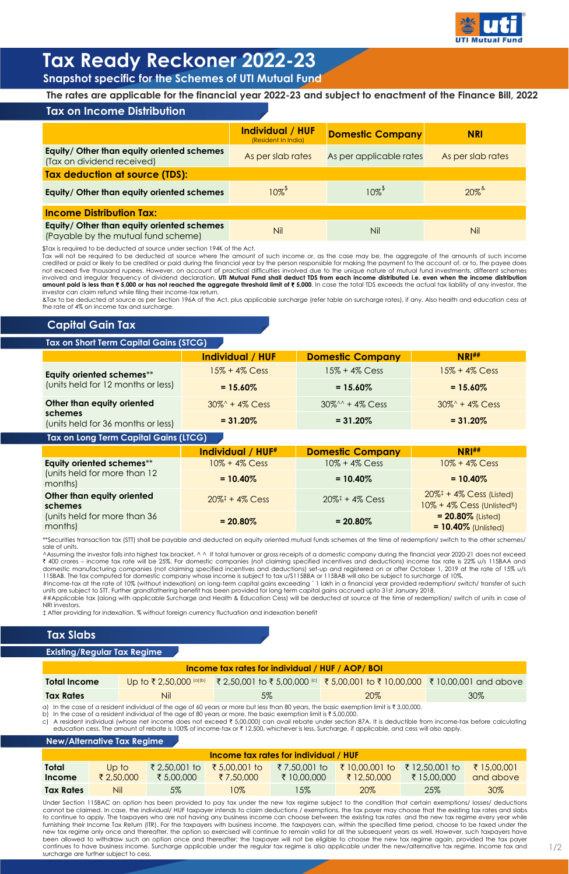|                                                                                   | Individual / HUF<br>(Resident In India) | <b>Domestic Company</b> | <b>NRI</b>        |  |  |  |
|-----------------------------------------------------------------------------------|-----------------------------------------|-------------------------|-------------------|--|--|--|
| Equity/ Other than equity oriented schemes<br>(Tax on dividend received)          | As per slab rates                       | As per applicable rates | As per slab rates |  |  |  |
| <b>Tax deduction at source (TDS):</b>                                             |                                         |                         |                   |  |  |  |
| Equity/ Other than equity oriented schemes                                        | $10\%$ <sup><math>*</math></sup>        | $10\%$ <sup>*</sup>     | $20\%$            |  |  |  |
| <b>Income Distribution Tax:</b>                                                   |                                         |                         |                   |  |  |  |
| Equity/ Other than equity oriented schemes<br>(Payable by the mutual fund scheme) | <b>Nil</b>                              | Nil                     | Nil               |  |  |  |

**The rates are applicable for the financial year 2022-23 and subject to enactment of the Finance Bill, 2022**

|                                               | Individual / HUF  | <b>Domestic Company</b>          | <b>NRI##</b>      |
|-----------------------------------------------|-------------------|----------------------------------|-------------------|
| Equity oriented schemes**                     | $15\% + 4\%$ Cess | $15\% + 4\%$ Cess                | $15\% + 4\%$ Cess |
| (units held for 12 months or less)            | $= 15.60\%$       | $= 15.60\%$                      | $= 15.60\%$       |
| Other than equity oriented                    | $30\% + 4\%$ Cess | $30\%^{\wedge\wedge} + 4\%$ Cess | $30\% + 4\%$ Cess |
| schemes<br>(units held for 36 months or less) | $= 31.20\%$       | $= 31.20\%$                      | $= 31.20\%$       |

|                                         | <b>Individual / HUF#</b>                 | <b>Domestic Company</b>                           | NRI#                                                                                                 |
|-----------------------------------------|------------------------------------------|---------------------------------------------------|------------------------------------------------------------------------------------------------------|
| Equity oriented schemes**               | $10\% + 4\%$ Cess                        | $10\% + 4\%$ Cess                                 | $10\% + 4\%$ Cess                                                                                    |
| (units held for more than 12<br>months) | $= 10.40\%$                              | $= 10.40\%$                                       | $= 10.40\%$                                                                                          |
| Other than equity oriented<br>schemes   | $20\%$ <sup><math>+</math></sup> 4% Cess | $20\%$ <sup><math>\ddagger</math></sup> + 4% Cess | $20\%$ <sup><math>\ddagger</math></sup> + 4% Cess (Listed)<br>10% + 4% Cess (Unlisted <sup>%</sup> ) |
| (units held for more than 36<br>months) | $= 20.80\%$                              | $= 20.80\%$                                       | $= 20.80\%$ (Listed)<br>$= 10.40\%$ (Unlisted)                                                       |



# **Tax Ready Reckoner 2022-23**

**Snapshot specific for the Schemes of UTI Mutual Fund**

# **Tax on Income Distribution**

\$Tax is required to be deducted at source under section 194K of the Act.

^Assuming the investor falls into highest tax bracket. ^ ^ If total turnover or gross receipts of a domestic company during the financial year 2020-21 does not exceed ₹ 400 crores – income tax rate will be 25%. For domestic companies (not claiming specified incentives and deductions) income tax rate is 22% u/s 115BAA and domestic manufacturing companies (not claiming specified incentives and deductions) set-up and registered on or after October 1, 2019 at the rate of 15% u/s 115BAB. The tax computed for domestic company whose income is subject to tax u/S115BBA or 115BAB will also be subject to surcharge of 10%.

Tax will not be required to be deducted at source where the amount of such income or, as the case may be, the aggregate of the amounts of such income credited or paid or likely to be credited or paid during the financial year by the person responsible for making the payment to the account of, or to, the payee does not exceed five thousand rupees. However, on account of practical difficulties involved due to the unique nature of mutual fund investments, different schemes involved and irregular frequency of dividend declaration, UTI Mutual Fund shall deduct TDS from each income distributed i.e. even when the income distribution amount paid is less than ₹5,000 or has not reached the aggregate threshold limit of ₹5,000. In case the total TDS exceeds the actual tax liability of any investor, the investor can claim refund while filing their income-tax return.

&Tax to be deducted at source as per Section 196A of the Act, plus applicable surcharge (refer table on surcharge rates), if any. Also health and education cess at the rate of 4% on income tax and surcharge.

\*\*Securities transaction tax (STT) shall be payable and deducted on equity oriented mutual funds schemes at the time of redemption/ switch to the other schemes/ sale of units.

#Income-tax at the rate of 10% (without indexation) on long-term capital gains exceeding ` 1 lakh in a financial year provided redemption/ switch/ transfer of such units are subject to STT. Further grandfathering benefit has been provided for long term capital gains accrued upto 31st January 2018.

##Applicable tax (along with applicable Surcharge and Health & Education Cess) will be deducted at source at the time of redemption/ switch of units in case of NRI investors.

‡ After providing for indexation. % without foreign currency fluctuation and indexation benefit

| <b>Income tax rates for individual / HUF / AOP/ BOI</b> |            |                                                                                                |     |     |  |  |
|---------------------------------------------------------|------------|------------------------------------------------------------------------------------------------|-----|-----|--|--|
| <b>Total Income</b>                                     |            | Up to ₹2,50,000 (a)(b) ₹2,50,001 to ₹5,00,000 (c) ₹5,00,001 to ₹10,00,000 ₹10,00,001 and above |     |     |  |  |
| <b>Tax Rates</b>                                        | <b>Nil</b> | 5%                                                                                             | 20% | 30% |  |  |

a) In the case of a resident individual of the age of 60 years or more but less than 80 years, the basic exemption limit is  $\bar{\tau}$  3,00,000.

b) In the case of a resident individual of the age of 80 years or more, the basic exemption limit is  $\bar{\tau}$  5,00,000.

c) A resident individual (whose net income does not exceed  $\overline{\tau}$  5,00,000) can avail rebate under section 87A. It is deductible from income-tax before calculating education cess. The amount of rebate is 100% of income-tax or ₹ 12,500, whichever is less. Surcharge, if applicable, and cess will also apply.

## **Tax Slabs**

| <b>Income fax rates for individual / HUF</b> |            |              |               |              |                |                |             |
|----------------------------------------------|------------|--------------|---------------|--------------|----------------|----------------|-------------|
| <b>Total</b>                                 | Up to      | ₹2,50,001 to | ₹ 5,00,001 to | ₹7,50,001 to | ₹ 10,00,001 to | ₹ 12,50,001 to | ₹ 15,00,001 |
| Income                                       | ₹ 2,50,000 | ₹ 5,00,000   | ₹ 7,50,000    | ₹ 10,00,000  | ₹ 12,50,000    | ₹ 15,00,000    | and above   |
| <b>Tax Rates</b>                             | Nil        | $5\%$        | $10\%$        | 15%          | 20%            | 25%            | 30%         |

#### **New/Alternative Tax Regime**

#### **Existing/Regular Tax Regime**

# **Capital Gain Tax**

## **Tax on Short Term Capital Gains (STCG)**

## **Tax on Long Term Capital Gains (LTCG)**

Under Section 115BAC an option has been provided to pay tax under the new tax regime subject to the condition that certain exemptions/ losses/ deductions cannot be claimed. In case, the individual/ HUF taxpayer intends to claim deductions / exemptions, the tax payer may choose that the existing tax rates and slabs to continue to apply. The taxpayers who are not having any business income can choose between the existing tax rates and the new tax regime every year while furnishing their Income Tax Return (ITR). For the taxpayers with business income, the taxpayers can, within the specified time period, choose to be taxed under the new tax regime only once and thereafter, the option so exercised will continue to remain valid for all the subsequent years as well. However, such taxpayers have been allowed to withdraw such an option once and thereafter; the taxpayer will not be eligible to choose the new tax regime again, provided the tax payer continues to have business income. Surcharge applicable under the regular tax regime is also applicable under the new/alternative tax regime. Income tax and surcharge are further subject to cess.